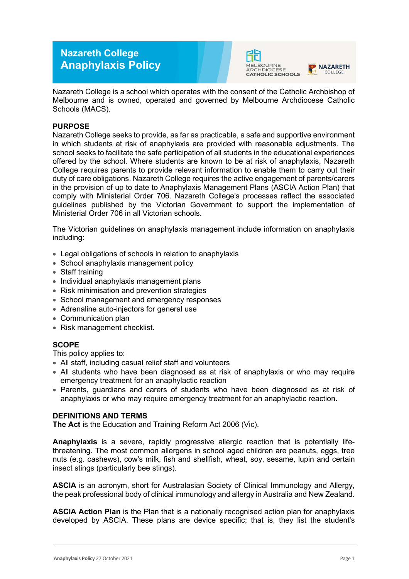# **Nazareth College Anaphylaxis Policy**





Nazareth College is a school which operates with the consent of the Catholic Archbishop of Melbourne and is owned, operated and governed by Melbourne Archdiocese Catholic Schools (MACS).

# **PURPOSE**

Nazareth College seeks to provide, as far as practicable, a safe and supportive environment in which students at risk of anaphylaxis are provided with reasonable adjustments. The school seeks to facilitate the safe participation of all students in the educational experiences offered by the school. Where students are known to be at risk of anaphylaxis, Nazareth College requires parents to provide relevant information to enable them to carry out their duty of care obligations. Nazareth College requires the active engagement of parents/carers in the provision of up to date to Anaphylaxis Management Plans (ASCIA Action Plan) that comply with Ministerial Order 706. Nazareth College's processes reflect the associated guidelines published by the Victorian Government to support the implementation of Ministerial Order 706 in all Victorian schools.

The Victorian guidelines on anaphylaxis management include information on anaphylaxis including:

- Legal obligations of schools in relation to anaphylaxis
- School anaphylaxis management policy
- Staff training
- Individual anaphylaxis management plans
- Risk minimisation and prevention strategies
- School management and emergency responses
- Adrenaline auto-injectors for general use
- Communication plan
- Risk management checklist.

# **SCOPE**

This policy applies to:

- All staff, including casual relief staff and volunteers
- All students who have been diagnosed as at risk of anaphylaxis or who may require emergency treatment for an anaphylactic reaction
- Parents, guardians and carers of students who have been diagnosed as at risk of anaphylaxis or who may require emergency treatment for an anaphylactic reaction.

## **DEFINITIONS AND TERMS**

**The Act** is the Education and Training Reform Act 2006 (Vic).

**Anaphylaxis** is a severe, rapidly progressive allergic reaction that is potentially lifethreatening. The most common allergens in school aged children are peanuts, eggs, tree nuts (e.g. cashews), cow's milk, fish and shellfish, wheat, soy, sesame, lupin and certain insect stings (particularly bee stings).

**ASCIA** is an acronym, short for Australasian Society of Clinical Immunology and Allergy, the peak professional body of clinical immunology and allergy in Australia and New Zealand.

**ASCIA Action Plan** is the Plan that is a nationally recognised action plan for anaphylaxis developed by ASCIA. These plans are device specific; that is, they list the student's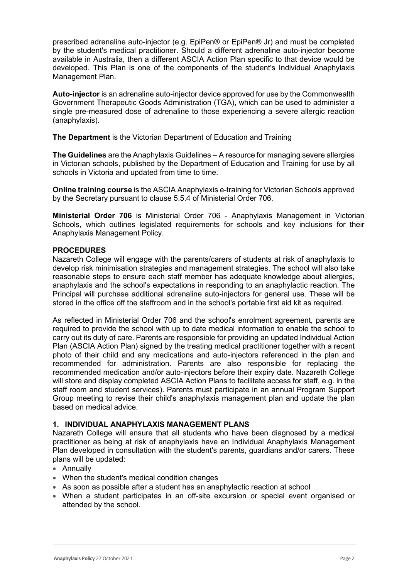prescribed adrenaline auto-injector (e.g. EpiPen® or EpiPen® Jr) and must be completed by the student's medical practitioner. Should a different adrenaline auto-injector become available in Australia, then a different ASCIA Action Plan specific to that device would be developed. This Plan is one of the components of the student's Individual Anaphylaxis Management Plan.

**Auto-injector** is an adrenaline auto-injector device approved for use by the Commonwealth Government Therapeutic Goods Administration (TGA), which can be used to administer a single pre-measured dose of adrenaline to those experiencing a severe allergic reaction (anaphylaxis).

**The Department** is the Victorian Department of Education and Training

**The Guidelines** are the Anaphylaxis Guidelines – A resource for managing severe allergies in Victorian schools, published by the Department of Education and Training for use by all schools in Victoria and updated from time to time.

**Online training course** is the ASCIA Anaphylaxis e-training for Victorian Schools approved by the Secretary pursuant to clause 5.5.4 of Ministerial Order 706.

**Ministerial Order 706** is Ministerial Order 706 - Anaphylaxis Management in Victorian Schools, which outlines legislated requirements for schools and key inclusions for their Anaphylaxis Management Policy.

#### **PROCEDURES**

Nazareth College will engage with the parents/carers of students at risk of anaphylaxis to develop risk minimisation strategies and management strategies. The school will also take reasonable steps to ensure each staff member has adequate knowledge about allergies, anaphylaxis and the school's expectations in responding to an anaphylactic reaction. The Principal will purchase additional adrenaline auto-injectors for general use. These will be stored in the office off the staffroom and in the school's portable first aid kit as required.

As reflected in Ministerial Order 706 and the school's enrolment agreement, parents are required to provide the school with up to date medical information to enable the school to carry out its duty of care. Parents are responsible for providing an updated Individual Action Plan (ASCIA Action Plan) signed by the treating medical practitioner together with a recent photo of their child and any medications and auto-injectors referenced in the plan and recommended for administration. Parents are also responsible for replacing the recommended medication and/or auto-injectors before their expiry date. Nazareth College will store and display completed ASCIA Action Plans to facilitate access for staff, e.g. in the staff room and student services). Parents must participate in an annual Program Support Group meeting to revise their child's anaphylaxis management plan and update the plan based on medical advice.

## **1. INDIVIDUAL ANAPHYLAXIS MANAGEMENT PLANS**

Nazareth College will ensure that all students who have been diagnosed by a medical practitioner as being at risk of anaphylaxis have an Individual Anaphylaxis Management Plan developed in consultation with the student's parents, guardians and/or carers. These plans will be updated:

- Annually
- When the student's medical condition changes
- As soon as possible after a student has an anaphylactic reaction at school
- When a student participates in an off-site excursion or special event organised or attended by the school.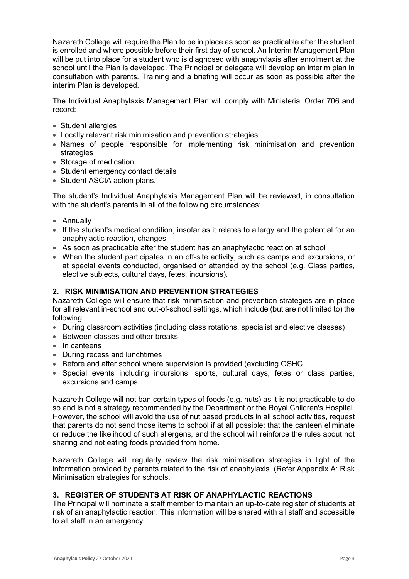Nazareth College will require the Plan to be in place as soon as practicable after the student is enrolled and where possible before their first day of school. An Interim Management Plan will be put into place for a student who is diagnosed with anaphylaxis after enrolment at the school until the Plan is developed. The Principal or delegate will develop an interim plan in consultation with parents. Training and a briefing will occur as soon as possible after the interim Plan is developed.

The Individual Anaphylaxis Management Plan will comply with Ministerial Order 706 and record:

- Student allergies
- Locally relevant risk minimisation and prevention strategies
- Names of people responsible for implementing risk minimisation and prevention strategies
- Storage of medication
- Student emergency contact details
- Student ASCIA action plans.

The student's Individual Anaphylaxis Management Plan will be reviewed, in consultation with the student's parents in all of the following circumstances:

- Annually
- If the student's medical condition, insofar as it relates to allergy and the potential for an anaphylactic reaction, changes
- As soon as practicable after the student has an anaphylactic reaction at school
- When the student participates in an off-site activity, such as camps and excursions, or at special events conducted, organised or attended by the school (e.g. Class parties, elective subjects, cultural days, fetes, incursions).

## **2. RISK MINIMISATION AND PREVENTION STRATEGIES**

Nazareth College will ensure that risk minimisation and prevention strategies are in place for all relevant in-school and out-of-school settings, which include (but are not limited to) the following:

- During classroom activities (including class rotations, specialist and elective classes)
- Between classes and other breaks
- In canteens
- During recess and lunchtimes
- Before and after school where supervision is provided (excluding OSHC
- Special events including incursions, sports, cultural days, fetes or class parties, excursions and camps.

Nazareth College will not ban certain types of foods (e.g. nuts) as it is not practicable to do so and is not a strategy recommended by the Department or the Royal Children's Hospital. However, the school will avoid the use of nut based products in all school activities, request that parents do not send those items to school if at all possible; that the canteen eliminate or reduce the likelihood of such allergens, and the school will reinforce the rules about not sharing and not eating foods provided from home.

Nazareth College will regularly review the risk minimisation strategies in light of the information provided by parents related to the risk of anaphylaxis. (Refer Appendix A: Risk Minimisation strategies for schools.

## **3. REGISTER OF STUDENTS AT RISK OF ANAPHYLACTIC REACTIONS**

The Principal will nominate a staff member to maintain an up-to-date register of students at risk of an anaphylactic reaction. This information will be shared with all staff and accessible to all staff in an emergency.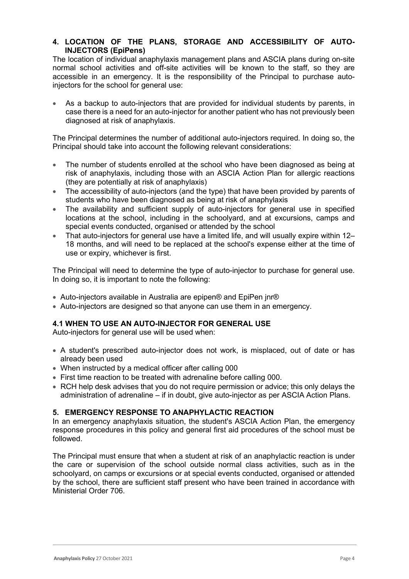# **4. LOCATION OF THE PLANS, STORAGE AND ACCESSIBILITY OF AUTO-INJECTORS (EpiPens)**

The location of individual anaphylaxis management plans and ASCIA plans during on-site normal school activities and off-site activities will be known to the staff, so they are accessible in an emergency. It is the responsibility of the Principal to purchase autoinjectors for the school for general use:

• As a backup to auto-injectors that are provided for individual students by parents, in case there is a need for an auto-injector for another patient who has not previously been diagnosed at risk of anaphylaxis.

The Principal determines the number of additional auto-injectors required. In doing so, the Principal should take into account the following relevant considerations:

- The number of students enrolled at the school who have been diagnosed as being at risk of anaphylaxis, including those with an ASCIA Action Plan for allergic reactions (they are potentially at risk of anaphylaxis)
- The accessibility of auto-injectors (and the type) that have been provided by parents of students who have been diagnosed as being at risk of anaphylaxis
- The availability and sufficient supply of auto-injectors for general use in specified locations at the school, including in the schoolyard, and at excursions, camps and special events conducted, organised or attended by the school
- That auto-injectors for general use have a limited life, and will usually expire within 12– 18 months, and will need to be replaced at the school's expense either at the time of use or expiry, whichever is first.

The Principal will need to determine the type of auto-injector to purchase for general use. In doing so, it is important to note the following:

- Auto-injectors available in Australia are epipen® and EpiPen jnr®
- Auto-injectors are designed so that anyone can use them in an emergency.

## **4.1 WHEN TO USE AN AUTO-INJECTOR FOR GENERAL USE**

Auto-injectors for general use will be used when:

- A student's prescribed auto-injector does not work, is misplaced, out of date or has already been used
- When instructed by a medical officer after calling 000
- First time reaction to be treated with adrenaline before calling 000.
- RCH help desk advises that you do not require permission or advice; this only delays the administration of adrenaline – if in doubt, give auto-injector as per ASCIA Action Plans.

### **5. EMERGENCY RESPONSE TO ANAPHYLACTIC REACTION**

In an emergency anaphylaxis situation, the student's ASCIA Action Plan, the emergency response procedures in this policy and general first aid procedures of the school must be followed.

The Principal must ensure that when a student at risk of an anaphylactic reaction is under the care or supervision of the school outside normal class activities, such as in the schoolyard, on camps or excursions or at special events conducted, organised or attended by the school, there are sufficient staff present who have been trained in accordance with Ministerial Order 706.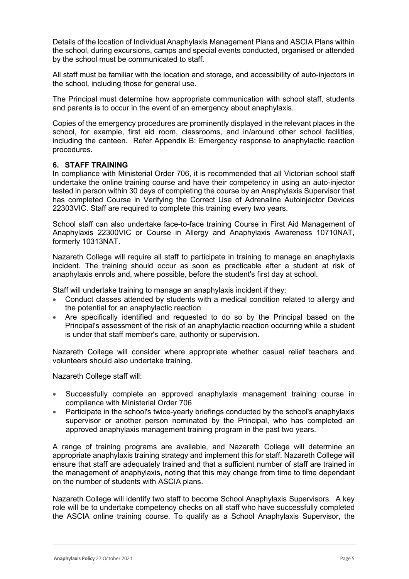Details of the location of Individual Anaphylaxis Management Plans and ASCIA Plans within the school, during excursions, camps and special events conducted, organised or attended by the school must be communicated to staff.

All staff must be familiar with the location and storage, and accessibility of auto-injectors in the school, including those for general use.

The Principal must determine how appropriate communication with school staff, students and parents is to occur in the event of an emergency about anaphylaxis.

Copies of the emergency procedures are prominently displayed in the relevant places in the school, for example, first aid room, classrooms, and in/around other school facilities, including the canteen. Refer Appendix B: Emergency response to anaphylactic reaction procedures.

#### **6. STAFF TRAINING**

In compliance with Ministerial Order 706, it is recommended that all Victorian school staff undertake the online training course and have their competency in using an auto-injector tested in person within 30 days of completing the course by an Anaphylaxis Supervisor that has completed Course in Verifying the Correct Use of Adrenaline Autoinjector Devices 22303VIC. Staff are required to complete this training every two years.

School staff can also undertake face-to-face training Course in First Aid Management of Anaphylaxis 22300VIC or Course in Allergy and Anaphylaxis Awareness 10710NAT, formerly 10313NAT.

Nazareth College will require all staff to participate in training to manage an anaphylaxis incident. The training should occur as soon as practicable after a student at risk of anaphylaxis enrols and, where possible, before the student's first day at school.

Staff will undertake training to manage an anaphylaxis incident if they:

- Conduct classes attended by students with a medical condition related to allergy and the potential for an anaphylactic reaction
- Are specifically identified and requested to do so by the Principal based on the Principal's assessment of the risk of an anaphylactic reaction occurring while a student is under that staff member's care, authority or supervision.

Nazareth College will consider where appropriate whether casual relief teachers and volunteers should also undertake training.

Nazareth College staff will:

- Successfully complete an approved anaphylaxis management training course in compliance with Ministerial Order 706
- Participate in the school's twice-yearly briefings conducted by the school's anaphylaxis supervisor or another person nominated by the Principal, who has completed an approved anaphylaxis management training program in the past two years.

A range of training programs are available, and Nazareth College will determine an appropriate anaphylaxis training strategy and implement this for staff. Nazareth College will ensure that staff are adequately trained and that a sufficient number of staff are trained in the management of anaphylaxis, noting that this may change from time to time dependant on the number of students with ASCIA plans.

Nazareth College will identify two staff to become School Anaphylaxis Supervisors. A key role will be to undertake competency checks on all staff who have successfully completed the ASCIA online training course. To qualify as a School Anaphylaxis Supervisor, the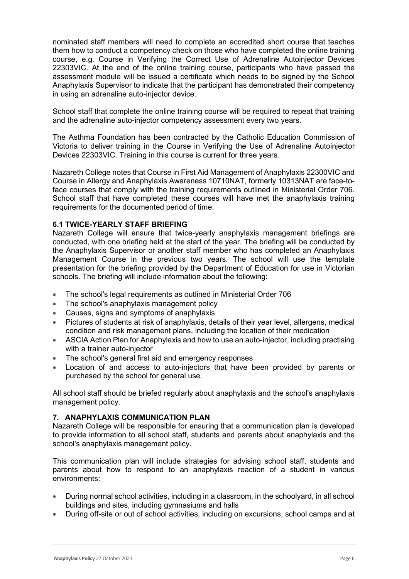nominated staff members will need to complete an accredited short course that teaches them how to conduct a competency check on those who have completed the online training course, e.g. Course in Verifying the Correct Use of Adrenaline Autoinjector Devices 22303VIC. At the end of the online training course, participants who have passed the assessment module will be issued a certificate which needs to be signed by the School Anaphylaxis Supervisor to indicate that the participant has demonstrated their competency in using an adrenaline auto-injector device.

School staff that complete the online training course will be required to repeat that training and the adrenaline auto-injector competency assessment every two years.

The Asthma Foundation has been contracted by the Catholic Education Commission of Victoria to deliver training in the Course in Verifying the Use of Adrenaline Autoinjector Devices 22303VIC. Training in this course is current for three years.

Nazareth College notes that Course in First Aid Management of Anaphylaxis 22300VIC and Course in Allergy and Anaphylaxis Awareness 10710NAT, formerly 10313NAT are face-toface courses that comply with the training requirements outlined in Ministerial Order 706. School staff that have completed these courses will have met the anaphylaxis training requirements for the documented period of time.

#### **6.1 TWICE-YEARLY STAFF BRIEFING**

Nazareth College will ensure that twice-yearly anaphylaxis management briefings are conducted, with one briefing held at the start of the year. The briefing will be conducted by the Anaphylaxis Supervisor or another staff member who has completed an Anaphylaxis Management Course in the previous two years. The school will use the template presentation for the briefing provided by the Department of Education for use in Victorian schools. The briefing will include information about the following:

- The school's legal requirements as outlined in Ministerial Order 706
- The school's anaphylaxis management policy
- Causes, signs and symptoms of anaphylaxis
- Pictures of students at risk of anaphylaxis, details of their year level, allergens, medical condition and risk management plans, including the location of their medication
- ASCIA Action Plan for Anaphylaxis and how to use an auto-injector, including practising with a trainer auto-injector
- The school's general first aid and emergency responses
- Location of and access to auto-injectors that have been provided by parents or purchased by the school for general use.

All school staff should be briefed regularly about anaphylaxis and the school's anaphylaxis management policy.

#### **7. ANAPHYLAXIS COMMUNICATION PLAN**

Nazareth College will be responsible for ensuring that a communication plan is developed to provide information to all school staff, students and parents about anaphylaxis and the school's anaphylaxis management policy.

This communication plan will include strategies for advising school staff, students and parents about how to respond to an anaphylaxis reaction of a student in various environments:

- During normal school activities, including in a classroom, in the schoolyard, in all school buildings and sites, including gymnasiums and halls
- During off-site or out of school activities, including on excursions, school camps and at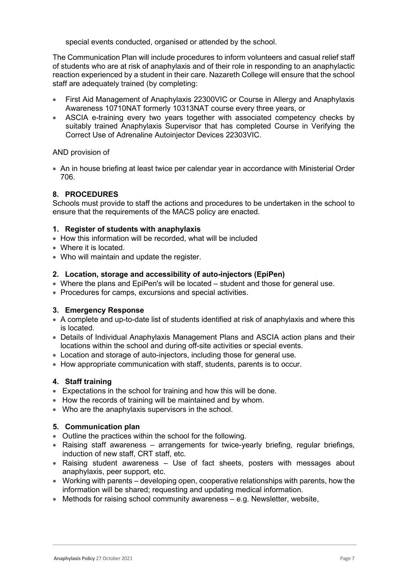special events conducted, organised or attended by the school.

The Communication Plan will include procedures to inform volunteers and casual relief staff of students who are at risk of anaphylaxis and of their role in responding to an anaphylactic reaction experienced by a student in their care. Nazareth College will ensure that the school staff are adequately trained (by completing:

- First Aid Management of Anaphylaxis 22300VIC or Course in Allergy and Anaphylaxis Awareness 10710NAT formerly 10313NAT course every three years, or
- ASCIA e-training every two years together with associated competency checks by suitably trained Anaphylaxis Supervisor that has completed Course in Verifying the Correct Use of Adrenaline Autoinjector Devices 22303VIC.

## AND provision of

• An in house briefing at least twice per calendar year in accordance with Ministerial Order 706.

## **8. PROCEDURES**

Schools must provide to staff the actions and procedures to be undertaken in the school to ensure that the requirements of the MACS policy are enacted.

#### **1. Register of students with anaphylaxis**

- How this information will be recorded, what will be included
- Where it is located.
- Who will maintain and update the register.

#### **2. Location, storage and accessibility of auto-injectors (EpiPen)**

- Where the plans and EpiPen's will be located student and those for general use.
- Procedures for camps, excursions and special activities.

## **3. Emergency Response**

- A complete and up-to-date list of students identified at risk of anaphylaxis and where this is located.
- Details of Individual Anaphylaxis Management Plans and ASCIA action plans and their locations within the school and during off-site activities or special events.
- Location and storage of auto-injectors, including those for general use.
- How appropriate communication with staff, students, parents is to occur.

## **4. Staff training**

- Expectations in the school for training and how this will be done.
- How the records of training will be maintained and by whom.
- Who are the anaphylaxis supervisors in the school.

#### **5. Communication plan**

- Outline the practices within the school for the following.
- Raising staff awareness arrangements for twice-yearly briefing, regular briefings, induction of new staff, CRT staff, etc.
- Raising student awareness Use of fact sheets, posters with messages about anaphylaxis, peer support, etc.
- Working with parents developing open, cooperative relationships with parents, how the information will be shared; requesting and updating medical information.
- Methods for raising school community awareness e.g. Newsletter, website,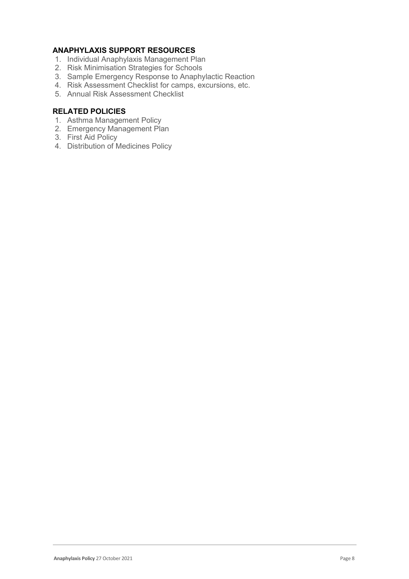# **ANAPHYLAXIS SUPPORT RESOURCES**

- 1. Individual Anaphylaxis Management Plan
- 2. Risk Minimisation Strategies for Schools
- 3. Sample Emergency Response to Anaphylactic Reaction
- 4. Risk Assessment Checklist for camps, excursions, etc.
- 5. Annual Risk Assessment Checklist

# **RELATED POLICIES**

- 1. Asthma Management Policy
- 2. Emergency Management Plan
- 3. First Aid Policy
- 4. Distribution of Medicines Policy